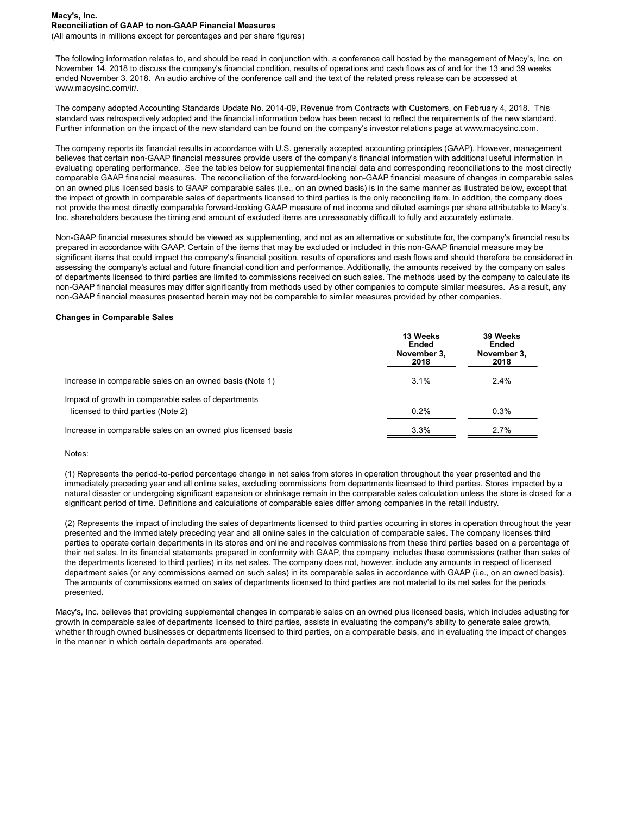(All amounts in millions except for percentages and per share figures)

The following information relates to, and should be read in conjunction with, a conference call hosted by the management of Macy's, Inc. on November 14, 2018 to discuss the company's financial condition, results of operations and cash flows as of and for the 13 and 39 weeks ended November 3, 2018. An audio archive of the conference call and the text of the related press release can be accessed at www.macysinc.com/ir/.

The company adopted Accounting Standards Update No. 2014-09, Revenue from Contracts with Customers, on February 4, 2018. This standard was retrospectively adopted and the financial information below has been recast to reflect the requirements of the new standard. Further information on the impact of the new standard can be found on the company's investor relations page at www.macysinc.com.

The company reports its financial results in accordance with U.S. generally accepted accounting principles (GAAP). However, management believes that certain non-GAAP financial measures provide users of the company's financial information with additional useful information in evaluating operating performance. See the tables below for supplemental financial data and corresponding reconciliations to the most directly comparable GAAP financial measures. The reconciliation of the forward-looking non-GAAP financial measure of changes in comparable sales on an owned plus licensed basis to GAAP comparable sales (i.e., on an owned basis) is in the same manner as illustrated below, except that the impact of growth in comparable sales of departments licensed to third parties is the only reconciling item. In addition, the company does not provide the most directly comparable forward-looking GAAP measure of net income and diluted earnings per share attributable to Macy's, Inc. shareholders because the timing and amount of excluded items are unreasonably difficult to fully and accurately estimate.

Non-GAAP financial measures should be viewed as supplementing, and not as an alternative or substitute for, the company's financial results prepared in accordance with GAAP. Certain of the items that may be excluded or included in this non-GAAP financial measure may be significant items that could impact the company's financial position, results of operations and cash flows and should therefore be considered in assessing the company's actual and future financial condition and performance. Additionally, the amounts received by the company on sales of departments licensed to third parties are limited to commissions received on such sales. The methods used by the company to calculate its non-GAAP financial measures may differ significantly from methods used by other companies to compute similar measures. As a result, any non-GAAP financial measures presented herein may not be comparable to similar measures provided by other companies.

### **Changes in Comparable Sales**

|                                                              | 13 Weeks<br>Ended<br>November 3,<br>2018 | 39 Weeks<br>Ended<br>November 3,<br>2018 |  |  |
|--------------------------------------------------------------|------------------------------------------|------------------------------------------|--|--|
| Increase in comparable sales on an owned basis (Note 1)      | 3.1%                                     | 2.4%                                     |  |  |
| Impact of growth in comparable sales of departments          |                                          |                                          |  |  |
| licensed to third parties (Note 2)                           | 0.2%                                     | 0.3%                                     |  |  |
| Increase in comparable sales on an owned plus licensed basis | 3.3%                                     | 2.7%                                     |  |  |

#### Notes:

(1) Represents the period-to-period percentage change in net sales from stores in operation throughout the year presented and the immediately preceding year and all online sales, excluding commissions from departments licensed to third parties. Stores impacted by a natural disaster or undergoing significant expansion or shrinkage remain in the comparable sales calculation unless the store is closed for a significant period of time. Definitions and calculations of comparable sales differ among companies in the retail industry.

(2) Represents the impact of including the sales of departments licensed to third parties occurring in stores in operation throughout the year presented and the immediately preceding year and all online sales in the calculation of comparable sales. The company licenses third parties to operate certain departments in its stores and online and receives commissions from these third parties based on a percentage of their net sales. In its financial statements prepared in conformity with GAAP, the company includes these commissions (rather than sales of the departments licensed to third parties) in its net sales. The company does not, however, include any amounts in respect of licensed department sales (or any commissions earned on such sales) in its comparable sales in accordance with GAAP (i.e., on an owned basis). The amounts of commissions earned on sales of departments licensed to third parties are not material to its net sales for the periods presented.

Macy's, Inc. believes that providing supplemental changes in comparable sales on an owned plus licensed basis, which includes adjusting for growth in comparable sales of departments licensed to third parties, assists in evaluating the company's ability to generate sales growth, whether through owned businesses or departments licensed to third parties, on a comparable basis, and in evaluating the impact of changes in the manner in which certain departments are operated.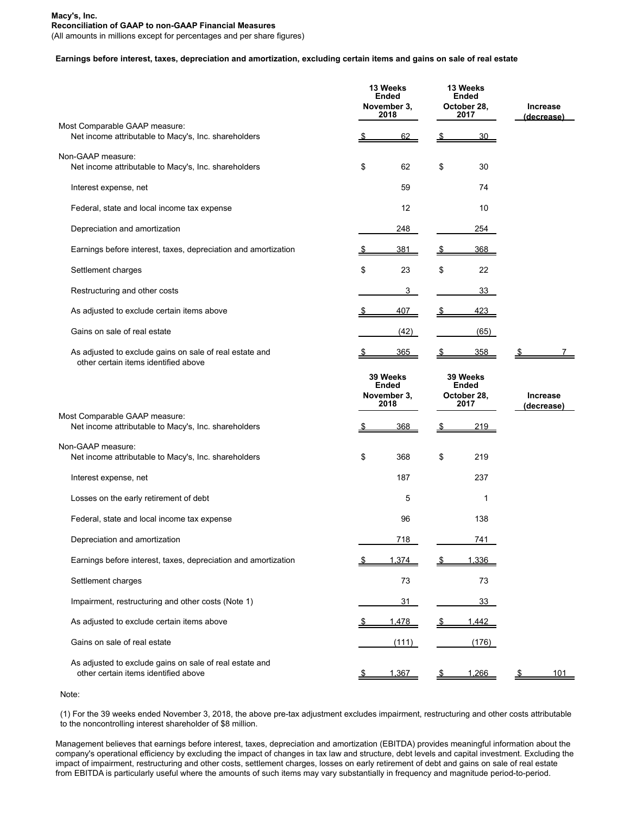(All amounts in millions except for percentages and per share figures)

## **Earnings before interest, taxes, depreciation and amortization, excluding certain items and gains on sale of real estate**

|                                                                                                 |                                                 | 13 Weeks<br>Ended<br>November 3, |                                                 | 13 Weeks<br>Ended<br>October 28, | <b>Increase</b>               |  |
|-------------------------------------------------------------------------------------------------|-------------------------------------------------|----------------------------------|-------------------------------------------------|----------------------------------|-------------------------------|--|
| Most Comparable GAAP measure:<br>Net income attributable to Macy's, Inc. shareholders           |                                                 | 2018<br>62                       | <u>\$</u>                                       | 2017<br>30                       | (decrease)                    |  |
| Non-GAAP measure:<br>Net income attributable to Macy's, Inc. shareholders                       | \$                                              | 62                               | \$                                              | 30                               |                               |  |
| Interest expense, net                                                                           |                                                 | 59                               |                                                 | 74                               |                               |  |
| Federal, state and local income tax expense                                                     |                                                 | 12                               |                                                 | 10                               |                               |  |
| Depreciation and amortization                                                                   |                                                 | 248                              |                                                 | 254                              |                               |  |
| Earnings before interest, taxes, depreciation and amortization                                  | <u>ა</u>                                        | 381                              | <u>\$</u>                                       | 368                              |                               |  |
| Settlement charges                                                                              | \$                                              | 23                               | \$                                              | 22                               |                               |  |
| Restructuring and other costs                                                                   |                                                 | 3                                |                                                 | 33                               |                               |  |
| As adjusted to exclude certain items above                                                      |                                                 | 407                              | <u>\$</u>                                       | 423                              |                               |  |
| Gains on sale of real estate                                                                    |                                                 | (42)                             |                                                 | (65)                             |                               |  |
| As adjusted to exclude gains on sale of real estate and<br>other certain items identified above |                                                 | <u>365</u>                       |                                                 | 358                              | S                             |  |
|                                                                                                 | 39 Weeks<br><b>Ended</b><br>November 3,<br>2018 |                                  | 39 Weeks<br><b>Ended</b><br>October 28,<br>2017 |                                  | <b>Increase</b><br>(decrease) |  |
| Most Comparable GAAP measure:<br>Net income attributable to Macy's, Inc. shareholders           |                                                 | 368                              | \$                                              | <u> 219  </u>                    |                               |  |
| Non-GAAP measure:<br>Net income attributable to Macy's, Inc. shareholders                       | \$                                              | 368                              | \$                                              | 219                              |                               |  |
| Interest expense, net                                                                           |                                                 | 187                              |                                                 | 237                              |                               |  |
| Losses on the early retirement of debt                                                          |                                                 | 5                                |                                                 | 1                                |                               |  |
| Federal, state and local income tax expense                                                     |                                                 | 96                               |                                                 | 138                              |                               |  |
| Depreciation and amortization                                                                   |                                                 | 718                              |                                                 | 741                              |                               |  |
| Earnings before interest, taxes, depreciation and amortization                                  |                                                 | 1,374                            |                                                 | 1,336                            |                               |  |
| Settlement charges                                                                              |                                                 | 73                               |                                                 | 73                               |                               |  |
| Impairment, restructuring and other costs (Note 1)                                              |                                                 | 31                               |                                                 | 33                               |                               |  |
| As adjusted to exclude certain items above                                                      |                                                 | 1,478                            |                                                 | 1.442                            |                               |  |
| Gains on sale of real estate                                                                    |                                                 | (111)                            |                                                 | (176)                            |                               |  |
| As adjusted to exclude gains on sale of real estate and<br>other certain items identified above | <u>ა</u>                                        | <u>1,367</u>                     | <u>উ</u>                                        | 1,266                            | 101<br><u>\$</u>              |  |

Note:

(1) For the 39 weeks ended November 3, 2018, the above pre-tax adjustment excludes impairment, restructuring and other costs attributable to the noncontrolling interest shareholder of \$8 million.

Management believes that earnings before interest, taxes, depreciation and amortization (EBITDA) provides meaningful information about the company's operational efficiency by excluding the impact of changes in tax law and structure, debt levels and capital investment. Excluding the impact of impairment, restructuring and other costs, settlement charges, losses on early retirement of debt and gains on sale of real estate from EBITDA is particularly useful where the amounts of such items may vary substantially in frequency and magnitude period-to-period.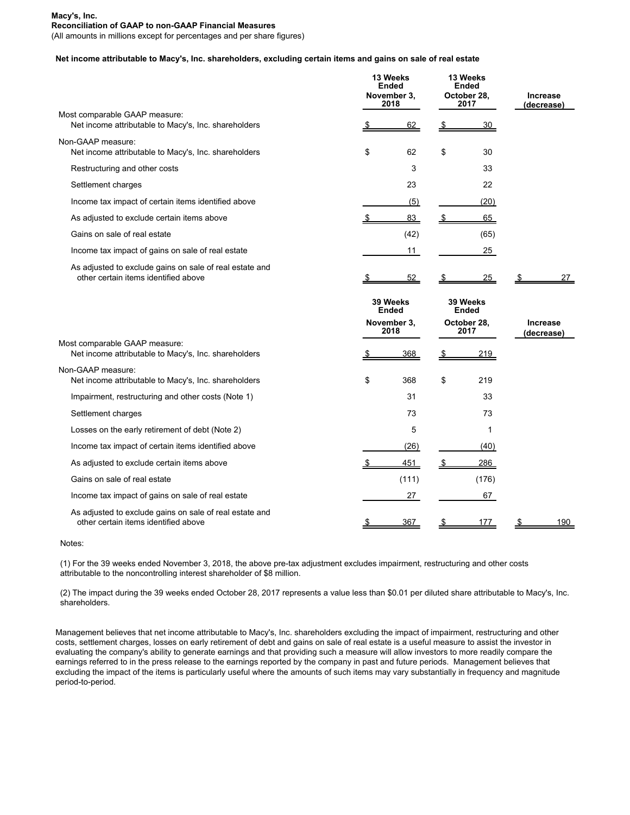(All amounts in millions except for percentages and per share figures)

# **Net income attributable to Macy's, Inc. shareholders, excluding certain items and gains on sale of real estate**

|                                                                                                 | 13 Weeks<br><b>Ended</b><br>November 3,<br>2018 |                          | 13 Weeks<br><b>Ended</b><br>October 28.<br>2017 |                          | <b>Increase</b><br>(decreaseː |                               |
|-------------------------------------------------------------------------------------------------|-------------------------------------------------|--------------------------|-------------------------------------------------|--------------------------|-------------------------------|-------------------------------|
| Most comparable GAAP measure:<br>Net income attributable to Macy's, Inc. shareholders           |                                                 | 62                       | \$                                              | <u>30</u>                |                               |                               |
| Non-GAAP measure:<br>Net income attributable to Macy's, Inc. shareholders                       | \$                                              | 62                       | \$                                              | 30                       |                               |                               |
| Restructuring and other costs                                                                   |                                                 | 3                        |                                                 | 33                       |                               |                               |
| Settlement charges                                                                              |                                                 | 23                       |                                                 | 22                       |                               |                               |
| Income tax impact of certain items identified above                                             |                                                 | (5)                      |                                                 | (20)                     |                               |                               |
| As adjusted to exclude certain items above                                                      |                                                 | 83                       |                                                 | 65                       |                               |                               |
| Gains on sale of real estate                                                                    |                                                 | (42)                     |                                                 | (65)                     |                               |                               |
| Income tax impact of gains on sale of real estate                                               |                                                 | 11                       |                                                 | 25                       |                               |                               |
| As adjusted to exclude gains on sale of real estate and<br>other certain items identified above |                                                 | 52                       |                                                 | 25                       |                               | 27                            |
|                                                                                                 |                                                 | 39 Weeks<br><b>Ended</b> |                                                 | 39 Weeks<br><b>Ended</b> |                               |                               |
|                                                                                                 | November 3,<br>2018                             |                          | October 28,<br>2017                             |                          |                               | <b>Increase</b><br>(decrease) |
| Most comparable GAAP measure:<br>Net income attributable to Macy's, Inc. shareholders           | 368                                             |                          | 219                                             |                          |                               |                               |
| Non-GAAP measure:                                                                               |                                                 |                          |                                                 |                          |                               |                               |
| Net income attributable to Macy's, Inc. shareholders                                            | \$                                              | 368                      | \$                                              | 219                      |                               |                               |
| Impairment, restructuring and other costs (Note 1)                                              |                                                 | 31                       |                                                 | 33                       |                               |                               |
| Settlement charges                                                                              |                                                 | 73                       |                                                 | 73                       |                               |                               |
| Losses on the early retirement of debt (Note 2)                                                 |                                                 | 5                        |                                                 | 1                        |                               |                               |
| Income tax impact of certain items identified above                                             |                                                 | (26)                     |                                                 | (40)                     |                               |                               |
| As adjusted to exclude certain items above                                                      |                                                 | 451                      |                                                 | 286                      |                               |                               |
| Gains on sale of real estate                                                                    |                                                 | (111)                    |                                                 | (176)                    |                               |                               |
| Income tax impact of gains on sale of real estate                                               |                                                 | 27                       |                                                 | 67                       |                               |                               |
| As adjusted to exclude gains on sale of real estate and<br>other certain items identified above |                                                 | 367                      |                                                 | 177                      |                               | 190                           |

Notes:

(1) For the 39 weeks ended November 3, 2018, the above pre-tax adjustment excludes impairment, restructuring and other costs attributable to the noncontrolling interest shareholder of \$8 million.

(2) The impact during the 39 weeks ended October 28, 2017 represents a value less than \$0.01 per diluted share attributable to Macy's, Inc. shareholders.

Management believes that net income attributable to Macy's, Inc. shareholders excluding the impact of impairment, restructuring and other costs, settlement charges, losses on early retirement of debt and gains on sale of real estate is a useful measure to assist the investor in evaluating the company's ability to generate earnings and that providing such a measure will allow investors to more readily compare the earnings referred to in the press release to the earnings reported by the company in past and future periods. Management believes that excluding the impact of the items is particularly useful where the amounts of such items may vary substantially in frequency and magnitude period-to-period.